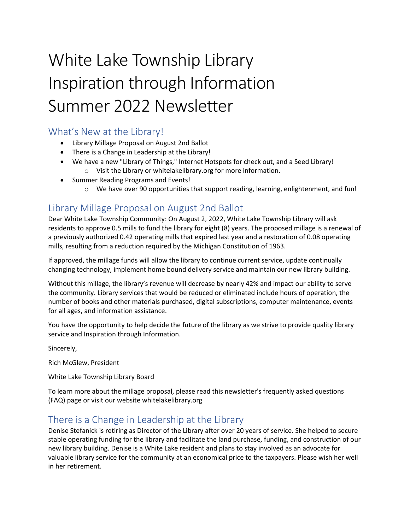# White Lake Township Library Inspiration through Information Summer 2022 Newsletter

# What's New at the Library!

- Library Millage Proposal on August 2nd Ballot
- There is a Change in Leadership at the Library!
- We have a new "Library of Things," Internet Hotspots for check out, and a Seed Library! o Visit the Library or whitelakelibrary.org for more information.
- Summer Reading Programs and Events!
	- $\circ$  We have over 90 opportunities that support reading, learning, enlightenment, and fun!

# Library Millage Proposal on August 2nd Ballot

Dear White Lake Township Community: On August 2, 2022, White Lake Township Library will ask residents to approve 0.5 mills to fund the library for eight (8) years. The proposed millage is a renewal of a previously authorized 0.42 operating mills that expired last year and a restoration of 0.08 operating mills, resulting from a reduction required by the Michigan Constitution of 1963.

If approved, the millage funds will allow the library to continue current service, update continually changing technology, implement home bound delivery service and maintain our new library building.

Without this millage, the library's revenue will decrease by nearly 42% and impact our ability to serve the community. Library services that would be reduced or eliminated include hours of operation, the number of books and other materials purchased, digital subscriptions, computer maintenance, events for all ages, and information assistance.

You have the opportunity to help decide the future of the library as we strive to provide quality library service and Inspiration through Information.

Sincerely,

Rich McGlew, President

White Lake Township Library Board

To learn more about the millage proposal, please read this newsletter's frequently asked questions (FAQ) page or visit our website whitelakelibrary.org

# There is a Change in Leadership at the Library

Denise Stefanick is retiring as Director of the Library after over 20 years of service. She helped to secure stable operating funding for the library and facilitate the land purchase, funding, and construction of our new library building. Denise is a White Lake resident and plans to stay involved as an advocate for valuable library service for the community at an economical price to the taxpayers. Please wish her well in her retirement.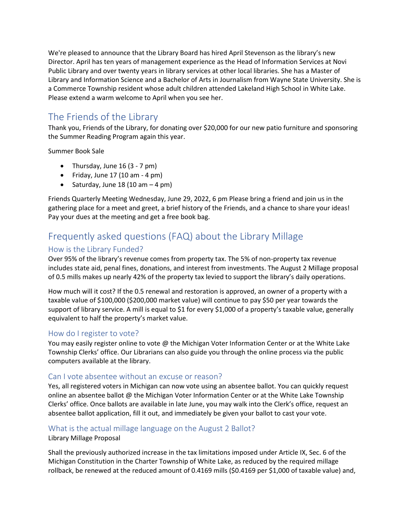We're pleased to announce that the Library Board has hired April Stevenson as the library's new Director. April has ten years of management experience as the Head of Information Services at Novi Public Library and over twenty years in library services at other local libraries. She has a Master of Library and Information Science and a Bachelor of Arts in Journalism from Wayne State University. She is a Commerce Township resident whose adult children attended Lakeland High School in White Lake. Please extend a warm welcome to April when you see her.

# The Friends of the Library

Thank you, Friends of the Library, for donating over \$20,000 for our new patio furniture and sponsoring the Summer Reading Program again this year.

Summer Book Sale

- Thursday, June  $16(3 7 \text{ pm})$
- Friday, June  $17(10 \text{ am} 4 \text{ pm})$
- Saturday, June 18 (10 am  $-$  4 pm)

Friends Quarterly Meeting Wednesday, June 29, 2022, 6 pm Please bring a friend and join us in the gathering place for a meet and greet, a brief history of the Friends, and a chance to share your ideas! Pay your dues at the meeting and get a free book bag.

# Frequently asked questions (FAQ) about the Library Millage

## How is the Library Funded?

Over 95% of the library's revenue comes from property tax. The 5% of non-property tax revenue includes state aid, penal fines, donations, and interest from investments. The August 2 Millage proposal of 0.5 mills makes up nearly 42% of the property tax levied to support the library's daily operations.

How much will it cost? If the 0.5 renewal and restoration is approved, an owner of a property with a taxable value of \$100,000 (\$200,000 market value) will continue to pay \$50 per year towards the support of library service. A mill is equal to \$1 for every \$1,000 of a property's taxable value, generally equivalent to half the property's market value.

#### How do I register to vote?

You may easily register online to vote @ the Michigan Voter Information Center or at the White Lake Township Clerks' office. Our Librarians can also guide you through the online process via the public computers available at the library.

#### Can I vote absentee without an excuse or reason?

Yes, all registered voters in Michigan can now vote using an absentee ballot. You can quickly request online an absentee ballot @ the Michigan Voter Information Center or at the White Lake Township Clerks' office. Once ballots are available in late June, you may walk into the Clerk's office, request an absentee ballot application, fill it out, and immediately be given your ballot to cast your vote.

#### What is the actual millage language on the August 2 Ballot?

#### Library Millage Proposal

Shall the previously authorized increase in the tax limitations imposed under Article IX, Sec. 6 of the Michigan Constitution in the Charter Township of White Lake, as reduced by the required millage rollback, be renewed at the reduced amount of 0.4169 mills (\$0.4169 per \$1,000 of taxable value) and,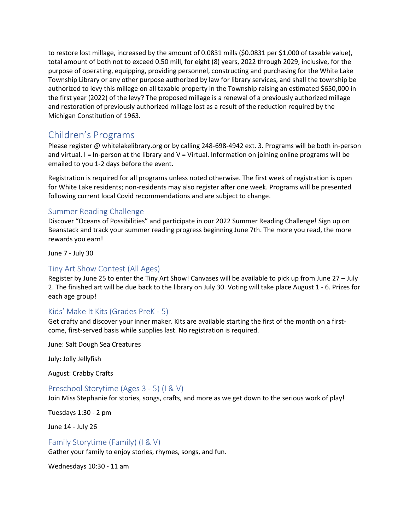to restore lost millage, increased by the amount of 0.0831 mills (\$0.0831 per \$1,000 of taxable value), total amount of both not to exceed 0.50 mill, for eight (8) years, 2022 through 2029, inclusive, for the purpose of operating, equipping, providing personnel, constructing and purchasing for the White Lake Township Library or any other purpose authorized by law for library services, and shall the township be authorized to levy this millage on all taxable property in the Township raising an estimated \$650,000 in the first year (2022) of the levy? The proposed millage is a renewal of a previously authorized millage and restoration of previously authorized millage lost as a result of the reduction required by the Michigan Constitution of 1963.

# Children's Programs

Please register @ whitelakelibrary.org or by calling 248-698-4942 ext. 3. Programs will be both in-person and virtual.  $I = In-person$  at the library and  $V = Virtual$ . Information on joining online programs will be emailed to you 1-2 days before the event.

Registration is required for all programs unless noted otherwise. The first week of registration is open for White Lake residents; non-residents may also register after one week. Programs will be presented following current local Covid recommendations and are subject to change.

#### Summer Reading Challenge

Discover "Oceans of Possibilities" and participate in our 2022 Summer Reading Challenge! Sign up on Beanstack and track your summer reading progress beginning June 7th. The more you read, the more rewards you earn!

June 7 - July 30

#### Tiny Art Show Contest (All Ages)

Register by June 25 to enter the Tiny Art Show! Canvases will be available to pick up from June 27 – July 2. The finished art will be due back to the library on July 30. Voting will take place August 1 - 6. Prizes for each age group!

#### Kids' Make It Kits (Grades PreK - 5)

Get crafty and discover your inner maker. Kits are available starting the first of the month on a firstcome, first-served basis while supplies last. No registration is required.

June: Salt Dough Sea Creatures

July: Jolly Jellyfish

August: Crabby Crafts

#### Preschool Storytime (Ages 3 - 5) (I & V)

Join Miss Stephanie for stories, songs, crafts, and more as we get down to the serious work of play!

Tuesdays 1:30 - 2 pm

June 14 - July 26

#### Family Storytime (Family) (I & V)

Gather your family to enjoy stories, rhymes, songs, and fun.

Wednesdays 10:30 - 11 am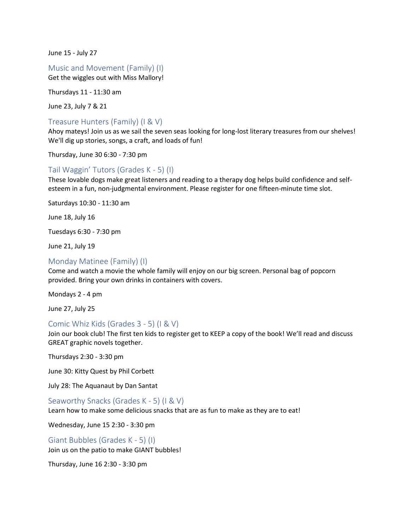June 15 - July 27

Music and Movement (Family) (I)

Get the wiggles out with Miss Mallory!

Thursdays 11 - 11:30 am

June 23, July 7 & 21

#### Treasure Hunters (Family) (I & V)

Ahoy mateys! Join us as we sail the seven seas looking for long-lost literary treasures from our shelves! We'll dig up stories, songs, a craft, and loads of fun!

Thursday, June 30 6:30 - 7:30 pm

#### Tail Waggin' Tutors (Grades K - 5) (I)

These lovable dogs make great listeners and reading to a therapy dog helps build confidence and selfesteem in a fun, non-judgmental environment. Please register for one fifteen-minute time slot.

Saturdays 10:30 - 11:30 am

June 18, July 16

Tuesdays 6:30 - 7:30 pm

June 21, July 19

#### Monday Matinee (Family) (I)

Come and watch a movie the whole family will enjoy on our big screen. Personal bag of popcorn provided. Bring your own drinks in containers with covers.

Mondays 2 - 4 pm

June 27, July 25

#### Comic Whiz Kids (Grades 3 - 5) (I & V)

Join our book club! The first ten kids to register get to KEEP a copy of the book! We'll read and discuss GREAT graphic novels together.

Thursdays 2:30 - 3:30 pm

June 30: Kitty Quest by Phil Corbett

July 28: The Aquanaut by Dan Santat

#### Seaworthy Snacks (Grades K - 5) (I & V)

Learn how to make some delicious snacks that are as fun to make as they are to eat!

Wednesday, June 15 2:30 - 3:30 pm

Giant Bubbles (Grades K - 5) (I) Join us on the patio to make GIANT bubbles!

Thursday, June 16 2:30 - 3:30 pm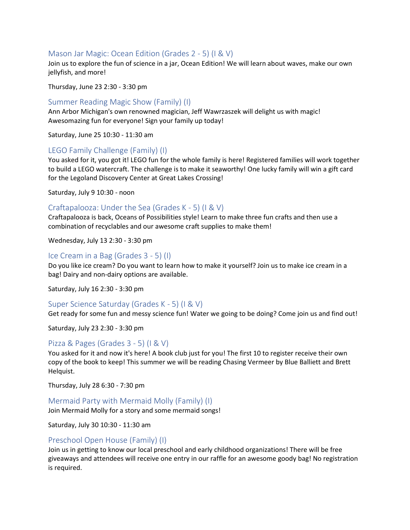#### Mason Jar Magic: Ocean Edition (Grades 2 - 5) (I & V)

Join us to explore the fun of science in a jar, Ocean Edition! We will learn about waves, make our own jellyfish, and more!

Thursday, June 23 2:30 - 3:30 pm

#### Summer Reading Magic Show (Family) (I)

Ann Arbor Michigan's own renowned magician, Jeff Wawrzaszek will delight us with magic! Awesomazing fun for everyone! Sign your family up today!

Saturday, June 25 10:30 - 11:30 am

#### LEGO Family Challenge (Family) (I)

You asked for it, you got it! LEGO fun for the whole family is here! Registered families will work together to build a LEGO watercraft. The challenge is to make it seaworthy! One lucky family will win a gift card for the Legoland Discovery Center at Great Lakes Crossing!

Saturday, July 9 10:30 - noon

#### Craftapalooza: Under the Sea (Grades K - 5) (I & V)

Craftapalooza is back, Oceans of Possibilities style! Learn to make three fun crafts and then use a combination of recyclables and our awesome craft supplies to make them!

Wednesday, July 13 2:30 - 3:30 pm

#### Ice Cream in a Bag (Grades 3 - 5) (I)

Do you like ice cream? Do you want to learn how to make it yourself? Join us to make ice cream in a bag! Dairy and non-dairy options are available.

Saturday, July 16 2:30 - 3:30 pm

#### Super Science Saturday (Grades K - 5) (I & V)

Get ready for some fun and messy science fun! Water we going to be doing? Come join us and find out!

Saturday, July 23 2:30 - 3:30 pm

#### Pizza & Pages (Grades 3 - 5) (I & V)

You asked for it and now it's here! A book club just for you! The first 10 to register receive their own copy of the book to keep! This summer we will be reading Chasing Vermeer by Blue Balliett and Brett Helquist.

Thursday, July 28 6:30 - 7:30 pm

Mermaid Party with Mermaid Molly (Family) (I)

Join Mermaid Molly for a story and some mermaid songs!

Saturday, July 30 10:30 - 11:30 am

#### Preschool Open House (Family) (I)

Join us in getting to know our local preschool and early childhood organizations! There will be free giveaways and attendees will receive one entry in our raffle for an awesome goody bag! No registration is required.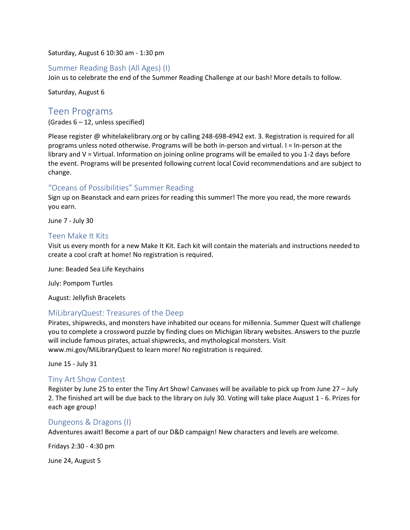Saturday, August 6 10:30 am - 1:30 pm

#### Summer Reading Bash (All Ages) (I)

Join us to celebrate the end of the Summer Reading Challenge at our bash! More details to follow.

Saturday, August 6

### Teen Programs

(Grades 6 – 12, unless specified)

Please register @ whitelakelibrary.org or by calling 248-698-4942 ext. 3. Registration is required for all programs unless noted otherwise. Programs will be both in-person and virtual. I = In-person at the library and V = Virtual. Information on joining online programs will be emailed to you 1-2 days before the event. Programs will be presented following current local Covid recommendations and are subject to change.

#### "Oceans of Possibilities" Summer Reading

Sign up on Beanstack and earn prizes for reading this summer! The more you read, the more rewards you earn.

June 7 - July 30

#### Teen Make It Kits

Visit us every month for a new Make It Kit. Each kit will contain the materials and instructions needed to create a cool craft at home! No registration is required.

June: Beaded Sea Life Keychains

July: Pompom Turtles

August: Jellyfish Bracelets

#### MiLibraryQuest: Treasures of the Deep

Pirates, shipwrecks, and monsters have inhabited our oceans for millennia. Summer Quest will challenge you to complete a crossword puzzle by finding clues on Michigan library websites. Answers to the puzzle will include famous pirates, actual shipwrecks, and mythological monsters. Visit www.mi.gov/MiLibraryQuest to learn more! No registration is required.

June 15 - July 31

#### Tiny Art Show Contest

Register by June 25 to enter the Tiny Art Show! Canvases will be available to pick up from June 27 – July 2. The finished art will be due back to the library on July 30. Voting will take place August 1 - 6. Prizes for each age group!

#### Dungeons & Dragons (I)

Adventures await! Become a part of our D&D campaign! New characters and levels are welcome.

Fridays 2:30 - 4:30 pm

June 24, August 5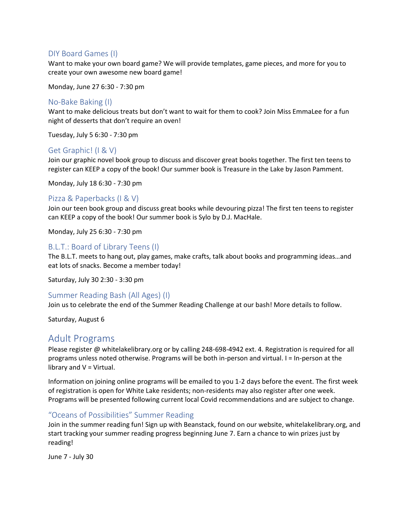#### DIY Board Games (I)

Want to make your own board game? We will provide templates, game pieces, and more for you to create your own awesome new board game!

Monday, June 27 6:30 - 7:30 pm

#### No-Bake Baking (I)

Want to make delicious treats but don't want to wait for them to cook? Join Miss EmmaLee for a fun night of desserts that don't require an oven!

Tuesday, July 5 6:30 - 7:30 pm

#### Get Graphic! (I & V)

Join our graphic novel book group to discuss and discover great books together. The first ten teens to register can KEEP a copy of the book! Our summer book is Treasure in the Lake by Jason Pamment.

Monday, July 18 6:30 - 7:30 pm

#### Pizza & Paperbacks (I & V)

Join our teen book group and discuss great books while devouring pizza! The first ten teens to register can KEEP a copy of the book! Our summer book is Sylo by D.J. MacHale.

Monday, July 25 6:30 - 7:30 pm

#### B.L.T.: Board of Library Teens (I)

The B.L.T. meets to hang out, play games, make crafts, talk about books and programming ideas…and eat lots of snacks. Become a member today!

Saturday, July 30 2:30 - 3:30 pm

#### Summer Reading Bash (All Ages) (I)

Join us to celebrate the end of the Summer Reading Challenge at our bash! More details to follow.

Saturday, August 6

#### Adult Programs

Please register @ whitelakelibrary.org or by calling 248-698-4942 ext. 4. Registration is required for all programs unless noted otherwise. Programs will be both in-person and virtual. I = In-person at the library and V = Virtual.

Information on joining online programs will be emailed to you 1-2 days before the event. The first week of registration is open for White Lake residents; non-residents may also register after one week. Programs will be presented following current local Covid recommendations and are subject to change.

#### "Oceans of Possibilities" Summer Reading

Join in the summer reading fun! Sign up with Beanstack, found on our website, whitelakelibrary.org, and start tracking your summer reading progress beginning June 7. Earn a chance to win prizes just by reading!

June 7 - July 30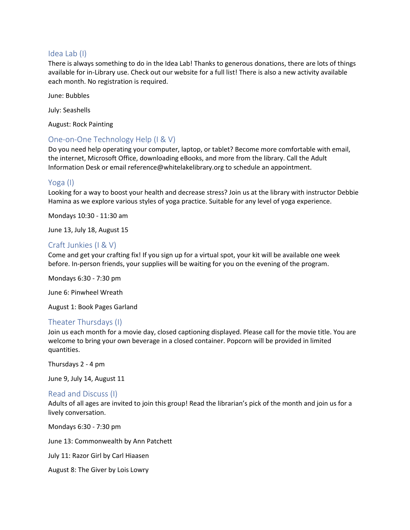#### Idea Lab (I)

There is always something to do in the Idea Lab! Thanks to generous donations, there are lots of things available for in-Library use. Check out our website for a full list! There is also a new activity available each month. No registration is required.

June: Bubbles

July: Seashells

August: Rock Painting

#### One-on-One Technology Help (I & V)

Do you need help operating your computer, laptop, or tablet? Become more comfortable with email, the internet, Microsoft Office, downloading eBooks, and more from the library. Call the Adult Information Desk or email reference@whitelakelibrary.org to schedule an appointment.

#### Yoga (I)

Looking for a way to boost your health and decrease stress? Join us at the library with instructor Debbie Hamina as we explore various styles of yoga practice. Suitable for any level of yoga experience.

Mondays 10:30 - 11:30 am

June 13, July 18, August 15

#### Craft Junkies (I & V)

Come and get your crafting fix! If you sign up for a virtual spot, your kit will be available one week before. In-person friends, your supplies will be waiting for you on the evening of the program.

Mondays 6:30 - 7:30 pm

June 6: Pinwheel Wreath

August 1: Book Pages Garland

#### Theater Thursdays (I)

Join us each month for a movie day, closed captioning displayed. Please call for the movie title. You are welcome to bring your own beverage in a closed container. Popcorn will be provided in limited quantities.

Thursdays 2 - 4 pm

June 9, July 14, August 11

#### Read and Discuss (I)

Adults of all ages are invited to join this group! Read the librarian's pick of the month and join us for a lively conversation.

Mondays 6:30 - 7:30 pm

June 13: Commonwealth by Ann Patchett

July 11: Razor Girl by Carl Hiaasen

August 8: The Giver by Lois Lowry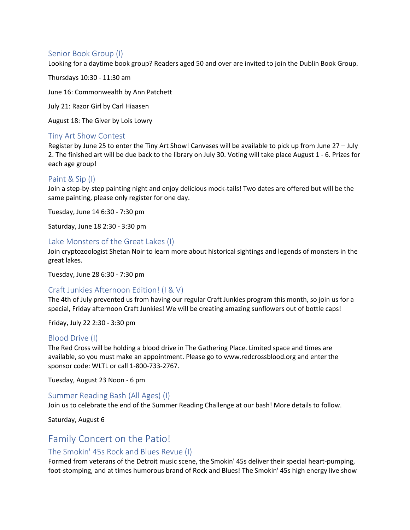#### Senior Book Group (I)

Looking for a daytime book group? Readers aged 50 and over are invited to join the Dublin Book Group.

Thursdays 10:30 - 11:30 am

June 16: Commonwealth by Ann Patchett

July 21: Razor Girl by Carl Hiaasen

August 18: The Giver by Lois Lowry

#### Tiny Art Show Contest

Register by June 25 to enter the Tiny Art Show! Canvases will be available to pick up from June 27 – July 2. The finished art will be due back to the library on July 30. Voting will take place August 1 - 6. Prizes for each age group!

#### Paint & Sip (I)

Join a step-by-step painting night and enjoy delicious mock-tails! Two dates are offered but will be the same painting, please only register for one day.

Tuesday, June 14 6:30 - 7:30 pm

Saturday, June 18 2:30 - 3:30 pm

#### Lake Monsters of the Great Lakes (I)

Join cryptozoologist Shetan Noir to learn more about historical sightings and legends of monsters in the great lakes.

Tuesday, June 28 6:30 - 7:30 pm

#### Craft Junkies Afternoon Edition! (I & V)

The 4th of July prevented us from having our regular Craft Junkies program this month, so join us for a special, Friday afternoon Craft Junkies! We will be creating amazing sunflowers out of bottle caps!

Friday, July 22 2:30 - 3:30 pm

#### Blood Drive (I)

The Red Cross will be holding a blood drive in The Gathering Place. Limited space and times are available, so you must make an appointment. Please go to www.redcrossblood.org and enter the sponsor code: WLTL or call 1-800-733-2767.

Tuesday, August 23 Noon - 6 pm

#### Summer Reading Bash (All Ages) (I)

Join us to celebrate the end of the Summer Reading Challenge at our bash! More details to follow.

Saturday, August 6

## Family Concert on the Patio!

#### The Smokin' 45s Rock and Blues Revue (I)

Formed from veterans of the Detroit music scene, the Smokin' 45s deliver their special heart-pumping, foot-stomping, and at times humorous brand of Rock and Blues! The Smokin' 45s high energy live show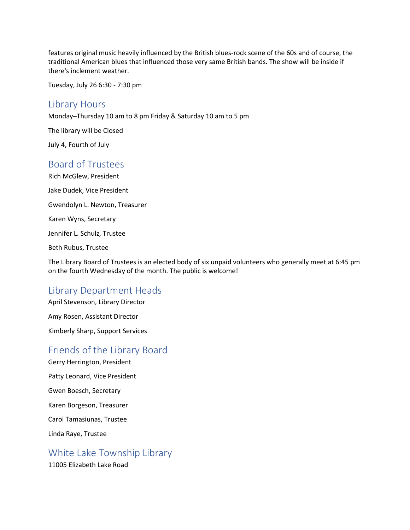features original music heavily influenced by the British blues-rock scene of the 60s and of course, the traditional American blues that influenced those very same British bands. The show will be inside if there's inclement weather.

Tuesday, July 26 6:30 - 7:30 pm

#### Library Hours

Monday–Thursday 10 am to 8 pm Friday & Saturday 10 am to 5 pm

The library will be Closed

July 4, Fourth of July

## Board of Trustees

Rich McGlew, President Jake Dudek, Vice President Gwendolyn L. Newton, Treasurer Karen Wyns, Secretary Jennifer L. Schulz, Trustee Beth Rubus, Trustee

The Library Board of Trustees is an elected body of six unpaid volunteers who generally meet at 6:45 pm on the fourth Wednesday of the month. The public is welcome!

## Library Department Heads

April Stevenson, Library Director Amy Rosen, Assistant Director Kimberly Sharp, Support Services

## Friends of the Library Board

Gerry Herrington, President Patty Leonard, Vice President Gwen Boesch, Secretary Karen Borgeson, Treasurer Carol Tamasiunas, Trustee Linda Raye, Trustee

White Lake Township Library

11005 Elizabeth Lake Road